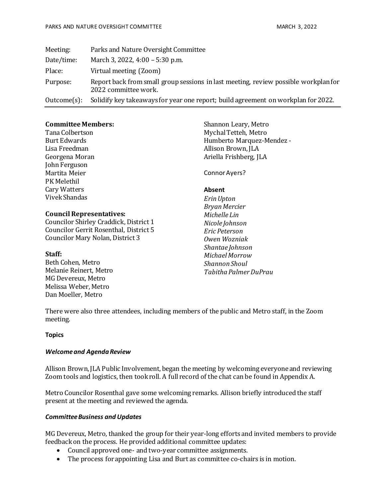| Meeting:    | Parks and Nature Oversight Committee                                                                        |
|-------------|-------------------------------------------------------------------------------------------------------------|
| Date/time:  | March 3, 2022, 4:00 – 5:30 p.m.                                                                             |
| Place:      | Virtual meeting (Zoom)                                                                                      |
| Purpose:    | Report back from small group sessions in last meeting, review possible workplan for<br>2022 committee work. |
| Outcome(s): | Solidify key takeaways for year one report; build agreement on workplan for 2022.                           |

## **Committee Members:**

Tana Colbertson Burt Edwards Lisa Freedman Georgena Moran John Ferguson Martita Meier PK Melethil Cary Watters Vivek Shandas

### **Council Representatives:**

Councilor Shirley Craddick, District 1 Councilor Gerrit Rosenthal, District 5 Councilor Mary Nolan, District 3

#### **Staff:**

Beth Cohen, Metro Melanie Reinert, Metro MG Devereux, Metro Melissa Weber, Metro Dan Moeller, Metro

Shannon Leary, Metro Mychal Tetteh, Metro Humberto Marquez-Mendez - Allison Brown, JLA Ariella Frishberg, JLA

Connor Ayers?

### **Absent**

*Erin Upton Bryan Mercier Michelle Lin Nicole Johnson Eric Peterson Owen Wozniak Shantae Johnson Michael Morrow Shannon Shoul Tabitha Palmer DuPrau*

There were also three attendees, including members of the public and Metro staff, in the Zoom meeting.

#### **Topics**

#### *Welcome and Agenda Review*

Allison Brown, JLA Public Involvement, began the meeting by welcoming everyone and reviewing Zoom tools and logistics, then took roll. A full record of the chat can be found in Appendix A.

Metro Councilor Rosenthal gave some welcoming remarks. Allison briefly introduced the staff present at the meeting and reviewed the agenda.

#### *Committee Business andUpdates*

MG Devereux, Metro, thanked the group for their year-long efforts and invited members to provide feedback on the process. He provided additional committee updates:

- Council approved one- and two-year committee assignments.
- The process for appointing Lisa and Burt as committee co-chairs is in motion.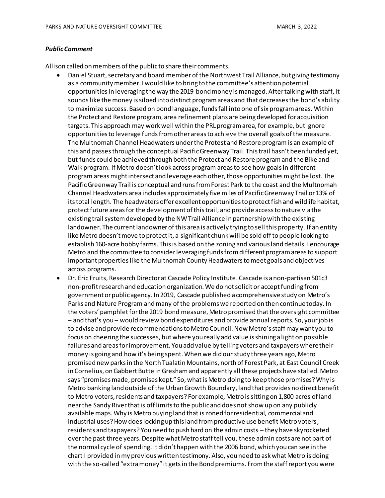#### *Public Comment*

Allison called on members of the public to share their comments.

- Daniel Stuart, secretary and board member of the Northwest Trail Alliance, but giving testimony as a community member. I would like to bring to the committee's attention potential opportunities in leveraging the way the 2019 bond money is managed. After talking with staff, it sounds like the money is siloed into distinct program areas and that decreases the bond's ability to maximize success. Based on bond language, funds fall into one of six program areas. Within the Protect and Restore program, area refinement plans are being developed for acquisition targets. This approach may work well within the PRL program area, for example, but ignore opportunities to leverage funds from other areas to achieve the overall goals of the measure. The Multnomah Channel Headwaters under the Protest and Restore program is an example of this and passes through the conceptual Pacific Greenway Trail. This trail hasn't been funded yet, but funds could be achieved through both the Protect and Restore program and the Bike and Walk program. If Metro doesn't look across program areas to see how goals in different program areas might intersect and leverage each other, those opportunities might be lost. The Pacific Greenway Trail is conceptual and runs from Forest Park to the coast and the Multnomah Channel Headwaters area includes approximately five miles of Pacific Greenway Trail or 13% of itstotal length. The headwaters offer excellent opportunities to protect fish and wildlife habitat, protect future areas for the development of this trail, and provide access to nature via the existing trail system developed by the NW Trail Alliance in partnership with the existing landowner. The current landowner of this area is actively trying to sell this property. If an entity like Metro doesn't move to protect it, a significant chunk will be sold off to people looking to establish 160-acre hobby farms. This is based on the zoning and various land details. I encourage Metro and the committee to consider leveraging funds from different program areas to support important properties like the Multnomah County Headwaters to meet goals and objectives across programs.
- Dr. Eric Fruits, Research Director at Cascade Policy Institute. Cascade is a non-partisan 501c3 non-profit research and education organization. We do not solicit or accept funding from government or public agency. In 2019, Cascade published a comprehensive study on Metro's Parks and Nature Program and many of the problems we reported on then continue today. In the voters' pamphlet for the 2019 bond measure, Metro promised that the oversight committee – and that's you – would review bond expenditures and provide annual reports. So, your job is to advise and provide recommendations to Metro Council. Now Metro's staff may want you to focus on cheering the successes, but where you really add value is shining a light on possible failures and areas for improvement. You add value by telling voters and taxpayers where their money is going and how it's being spent. When we did our study three years ago, Metro promised new parks in the North Tualatin Mountains, north of Forest Park, at East Council Creek in Cornelius, on Gabbert Butte in Gresham and apparently all these projects have stalled. Metro says "promises made, promises kept." So, what is Metro doing to keep those promises? Why is Metro banking land outside of the Urban Growth Boundary, land that provides no direct benefit to Metro voters, residents and taxpayers? For example, Metro is sitting on 1,800 acres of land near the Sandy River that is off limits to the public and does not show up on any publicly available maps. Why is Metro buying land that is zoned for residential, commercial and industrial uses? How does locking up this land from productive use benefit Metro voters, residents and taxpayers? You need to push hard on the admin costs – they have skyrocketed over the past three years. Despite what Metro staff tell you, these admin costs are not part of the normal cycle of spending. It didn't happen with the 2006 bond, which you can see in the chart I provided in my previous written testimony. Also, you need to ask what Metro is doing with the so-called "extra money" it gets in the Bond premiums. From the staff report you were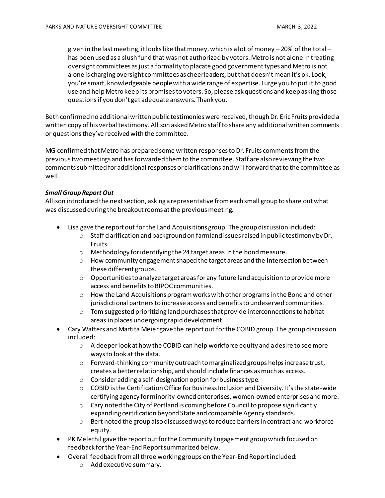given in the last meeting, it looks like that money, which is a lot of money – 20% of the total – has been used as a slush fund that was not authorized by voters. Metro is not alone in treating oversight committees as just a formality to placate good government types and Metro is not alone is charging oversight committees as cheerleaders, but that doesn't mean it's ok. Look, you're smart, knowledgeable people with a wide range of expertise. I urge you to put it to good use and help Metro keep its promises to voters. So, please ask questions and keep asking those questions if you don't get adequate answers. Thank you.

Beth confirmed no additional written public testimonies were received, though Dr. Eric Fruits provided a written copy of his verbal testimony. Allison asked Metro staff to share any additional written comments or questions they've received with the committee.

MG confirmed that Metro has prepared some written responses to Dr. Fruits commentsfrom the previous two meetings and has forwarded them to the committee. Staff are also reviewing the two comments submitted for additional responses or clarifications and will forward that to the committee as well.

# *Small Group Report Out*

Allison introduced the next section, asking a representative from each small group to share out what was discussed during the breakout rooms at the previous meeting.

- Lisa gave the report out for the Land Acquisitions group. The group discussion included:
	- $\circ$  Staff clarification and background on farmland issues raised in public testimony by Dr. Fruits.
	- o Methodology for identifying the 24 target areas in the bond measure.
	- $\circ$  How community engagement shaped the target areas and the intersection between these different groups.
	- $\circ$  Opportunities to analyze target areas for any future land acquisition to provide more access and benefits to BIPOC communities.
	- $\circ$  How the Land Acquisitions program works with other programs in the Bond and other jurisdictional partners to increase access and benefits to undeserved communities.
	- $\circ$  Tom suggested prioritizing land purchases that provide interconnections to habitat areas in places undergoing rapid development.
- Cary Watters and Martita Meier gave the report out for the COBID group. The group discussion included:
	- $\circ$  A deeper look at how the COBID can help workforce equity and a desire to see more ways to look at the data.
	- $\circ$  Forward-thinking community outreach to marginalized groups helps increase trust, creates a better relationship, and should include finances as much as access.
	- o Consider adding a self-designation option for business type.
	- $\circ$  COBID is the Certification Office for Business Inclusion and Diversity. It's the state-wide certifying agency for minority-owned enterprises, women-owned enterprises and more.
	- $\circ$  Cary noted the City of Portland is coming before Council to propose significantly expanding certification beyond State and comparable Agency standards.
	- o Bert noted the group also discussed ways to reduce barriers in contract and workforce equity.
- PK Melethil gave the report out for the Community Engagement group which focused on feedback for the Year-End Report summarized below.
- Overall feedback from all three working groups on the Year-End Report included:
	- o Add executive summary.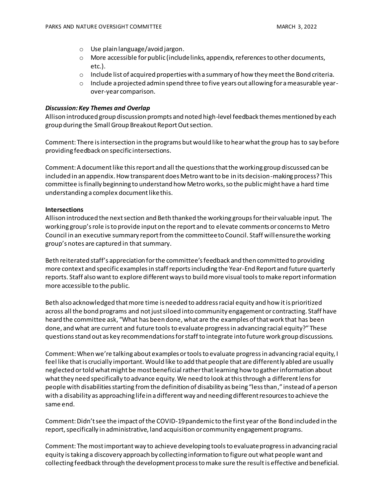- o Use plain language/avoid jargon.
- $\circ$  More accessible for public (include links, appendix, references to other documents, etc.).
- $\circ$  Include list of acquired properties with a summary of how they meet the Bond criteria.
- $\circ$  Include a projected admin spend three to five years out allowing for a measurable yearover-year comparison.

### *Discussion: Key Themes and Overlap*

Allison introduced group discussion prompts and noted high-level feedback themes mentioned by each group during the Small Group Breakout Report Out section.

Comment: There is intersection in the programs but would like to hear what the group has to say before providing feedback on specific intersections.

Comment: A document like this report and all the questions that the working group discussed can be included in an appendix. How transparent does Metro want to be in its decision-making process? This committee is finally beginning to understand how Metro works, so the public might have a hard time understanding a complex document like this.

### **Intersections**

Allison introduced the next section and Beth thanked the working groups for their valuable input. The working group's role is to provide input on the report and to elevate comments or concerns to Metro Council in an executive summary report from the committee to Council. Staff will ensure the working group's notes are captured in that summary.

Beth reiterated staff's appreciation for the committee's feedback and then committed to providing more context and specific examples in staff reports including the Year-End Report and future quarterly reports. Staff also want to explore different ways to build more visual toolsto make report information more accessible to the public.

Beth also acknowledged that more time is needed to address racial equity and how it is prioritized across all the bond programs and not just siloed into community engagement or contracting. Staff have heard the committee ask, "What has been done, what are the examples of that work that has been done, and what are current and future tools to evaluate progress in advancing racial equity?"These questions stand out as key recommendations for staff to integrate into future work group discussions.

Comment: When we're talking about examples or tools to evaluate progress in advancing racial equity, I feel like that is crucially important. Would like to add that people that are differently abled are usually neglected or told what might be most beneficial rather that learning how to gather information about what they need specifically to advance equity. We need to look at this through a different lens for people with disabilities starting from the definition of disability as being "less than," instead of a person with a disability as approaching life in a different way and needing different resources to achieve the same end.

Comment: Didn't see the impact of the COVID-19 pandemic to the first year of the Bond included in the report, specifically in administrative, land acquisition or community engagement programs.

Comment: The most important way to achieve developing tools to evaluate progress in advancing racial equity is taking a discovery approach by collecting information to figure out what people want and collecting feedback through the development process to make sure the result is effective and beneficial.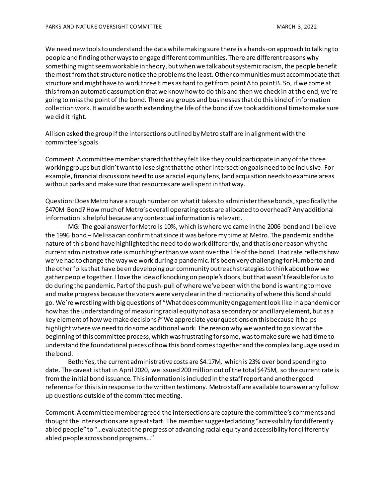We need new tools to understand the data while making sure there is a hands-on approach to talking to people and finding other ways to engage different communities. There are different reasons why something might seem workable in theory, but when we talk about systemic racism, the people benefit the most from that structure notice the problems the least. Other communities must accommodate that structure and might have to work three times as hard to get from point A to point B. So, if we come at this from an automatic assumption that we know how to do this and then we check in at the end, we're going to miss the point of the bond. There are groups and businesses that do this kind of information collection work. It would be worth extending the life of the bond if we took additional time to make sure we did it right.

Allison asked the group if the intersections outlined by Metro staff are in alignment with the committee's goals.

Comment: A committee member shared that they felt like they could participate in any of the three working groups but didn't want to lose sight that the other intersection goals need to be inclusive. For example, financial discussions need to use a racial equity lens, land acquisition needs to examine areas without parks and make sure that resources are well spent in that way.

Question: Does Metro have a rough number on what it takes to administer these bonds, specifically the \$470M Bond? How much of Metro's overall operating costs are allocated to overhead? Any additional information is helpful because any contextual information is relevant.

MG: The goal answer for Metro is 10%, which is where we came in the 2006 bond and I believe the 1996 bond – Melissa can confirm that since it was before my time at Metro. The pandemic and the nature of this bond have highlighted the need to do work differently, and thatis one reason why the current administrative rate is much higher than we want over the life of the bond. That rate reflects how we've had to change the way we work during a pandemic. It's been very challenging for Humberto and the other folks that have been developing our community outreach strategies to think about how we gather people together. I love the idea of knocking on people's doors, but that wasn't feasible for us to do during the pandemic. Part of the push-pull of where we've been with the bond is wanting to move and make progress because the voters were very clear in the directionality of where this Bond should go. We're wrestling with big questions of "What does community engagement look like in a pandemic or how has the understanding of measuring racial equity not as a secondary or ancillary element, but as a key element of how we make decisions?" We appreciate your questions on this because it helps highlight where we need to do some additional work. The reason why we wanted to go slow at the beginning of this committee process, which was frustrating for some, was to make sure we had time to understand the foundational pieces of how this bond comes together and the complex language used in the bond.

Beth: Yes, the current administrative costs are \$4.17M, which is 23% over bond spending to date. The caveat is that in April 2020, we issued 200 million out of the total \$475M, so the current rate is fromthe initial bond issuance. This information is included in the staff report and another good reference for this is in response to the written testimony. Metro staff are available to answer any follow up questions outside of the committee meeting.

Comment: A committee member agreed the intersections are capture the committee's comments and thought the intersections are a great start. The membersuggested adding "accessibility for differently abled people" to "...evaluated the progress of advancing racial equity and accessibility for differently abled people across bond programs…"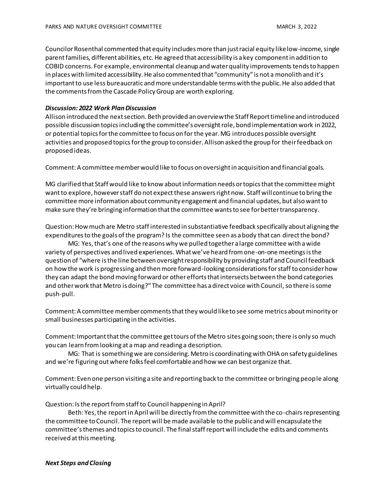Councilor Rosenthal commented that equity includes more than just racial equity like low-income, single parent families, different abilities, etc. He agreed that accessibility is a key component in addition to COBID concerns. For example, environmental cleanup and water quality improvements tends to happen in places with limited accessibility. He also commented that "community" is not a monolith and it's important to use less bureaucratic and more understandable terms with the public. He also added that the comments from the Cascade Policy Group are worth exploring.

### *Discussion: 2022 Work Plan Discussion*

Allison introduced the next section. Beth provided an overview the Staff Report timeline and introduced possible discussion topics including the committee's oversight role, bond implementation work in 2022, or potential topics for the committee to focus on for the year. MG introduces possible oversight activities and proposed topics for the group to consider. Allison asked the group for theirfeedback on proposed ideas.

Comment: A committee member would like to focus on oversight in acquisition and financial goals.

MG clarified that Staff would like to know about information needs or topics that the committee might want to explore, however staff do not expect these answers right now. Staff will continueto bring the committee more information about community engagement and financial updates, but also want to make sure they're bringing information that the committee wants to see for better transparency.

Question: How much are Metro staff interested in substantiative feedback specifically about aligning the expenditures to the goals of the program? Is the committee seen as a body that can direct the bond?

MG: Yes, that's one of the reasons why we pulled together a large committee with a wide variety of perspectives and lived experiences. What we've heard from one-on-one meetings is the question of "where is the line between oversight responsibility by providing staff and Council feedback on how the work is progressing and then more forward-looking considerations for staff to consider how they can adapt the bond moving forward or other efforts that intersects between the bond categories and other work that Metro is doing?"The committee has a direct voice with Council, so there is some push-pull.

Comment: A committee member comments that they would like to see some metrics about minority or small businesses participating in the activities.

Comment: Important that the committee get tours of the Metro sites going soon; there is only so much you can learn from looking at a map and reading a description.

MG: That is something we are considering. Metro is coordinating with OHA on safety guidelines and we're figuring out where folks feel comfortable and how we can best organize that.

Comment: Even one person visiting a site and reporting back to the committee or bringing people along virtually could help.

Question: Is the report from staff to Council happening in April?

Beth: Yes, the report in April will be directly from the committee with the co-chairs representing the committee to Council. The report will be made available to the public and will encapsulate the committee's themes and topics to council. The final staff report will include the edits and comments received at this meeting.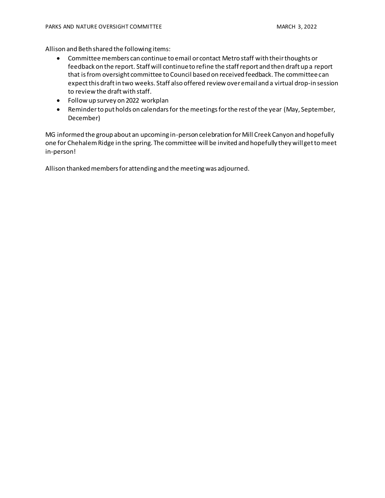Allison and Beth shared the following items:

- Committee members can continue to email or contact Metro staff with their thoughts or feedback on the report. Staff will continue to refine the staff report and then draft up a report that is from oversight committee to Council based on received feedback. The committee can expect this draft in two weeks. Staff also offered review over email and a virtual drop-in session to review the draft with staff.
- Follow up survey on 2022 workplan
- Reminder to put holds on calendars for the meetings for the rest of the year (May, September, December)

MG informed the group about an upcoming in-person celebration for Mill Creek Canyon and hopefully one for Chehalem Ridge in the spring. The committee will be invited and hopefully they will get to meet in-person!

Allison thanked members for attending and the meeting was adjourned.